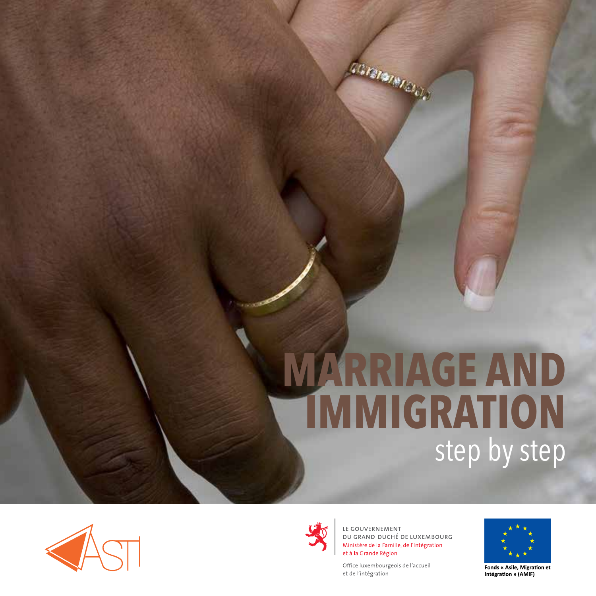# **MARRIAGE AND IMMIGRATION** step by step





LE GOUVERNEMENT DU GRAND-DUCHÉ DE LUXEMBOURG Ministère de la Famille, de l'Intégration et à la Grande Région

Office luxembourgeois de l'accueil et de l'intégration

**CONSTRATION** 



Fonds « Asile, Migration et Intégration » (AMIF)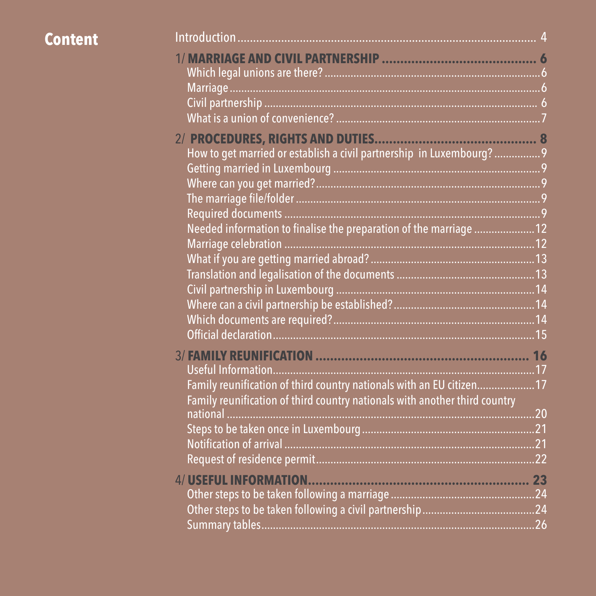| Content |                                                                            |  |
|---------|----------------------------------------------------------------------------|--|
|         |                                                                            |  |
|         |                                                                            |  |
|         |                                                                            |  |
|         |                                                                            |  |
|         |                                                                            |  |
|         | How to get married or establish a civil partnership in Luxembourg? 9       |  |
|         |                                                                            |  |
|         |                                                                            |  |
|         |                                                                            |  |
|         |                                                                            |  |
|         | Needed information to finalise the preparation of the marriage  12         |  |
|         |                                                                            |  |
|         |                                                                            |  |
|         |                                                                            |  |
|         |                                                                            |  |
|         |                                                                            |  |
|         |                                                                            |  |
|         |                                                                            |  |
|         |                                                                            |  |
|         |                                                                            |  |
|         | Family reunification of third country nationals with an EU citizen17       |  |
|         | Family reunification of third country nationals with another third country |  |
|         |                                                                            |  |
|         |                                                                            |  |
|         |                                                                            |  |
|         |                                                                            |  |
|         |                                                                            |  |
|         |                                                                            |  |
|         |                                                                            |  |
|         |                                                                            |  |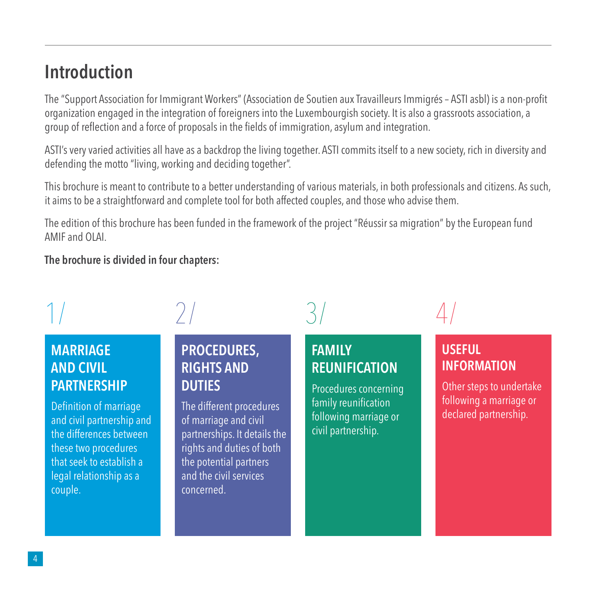# **Introduction**

The "Support Association for Immigrant Workers" (Association de Soutien aux Travailleurs Immigrés – ASTI asbl) is a non-profit organization engaged in the integration of foreigners into the Luxembourgish society. It is also a grassroots association, a group of reflection and a force of proposals in the fields of immigration, asylum and integration.

ASTI's very varied activities all have as a backdrop the living together. ASTI commits itself to a new society, rich in diversity and defending the motto "living, working and deciding together".

This brochure is meant to contribute to a better understanding of various materials, in both professionals and citizens. As such, it aims to be a straightforward and complete tool for both affected couples, and those who advise them.

The edition of this brochure has been funded in the framework of the project "Réussir sa migration" by the European fund AMIF and OLAI.

**The brochure is divided in four chapters:** 

### **MARRIAGE AND CIVIL PARTNERSHIP**

Definition of marriage and civil partnership and the differences between these two procedures that seek to establish a legal relationship as a couple.

#### **PROCEDURES, RIGHTS AND DUTIES**

The different procedures of marriage and civil partnerships. It details the rights and duties of both the potential partners and the civil services concerned.

#### **FAMILY REUNIFICATION**

Procedures concerning family reunification following marriage or civil partnership.

 $1/$   $2/$   $3/$   $4/$ 

#### **USEFUL INFORMATION**

Other steps to undertake following a marriage or declared partnership.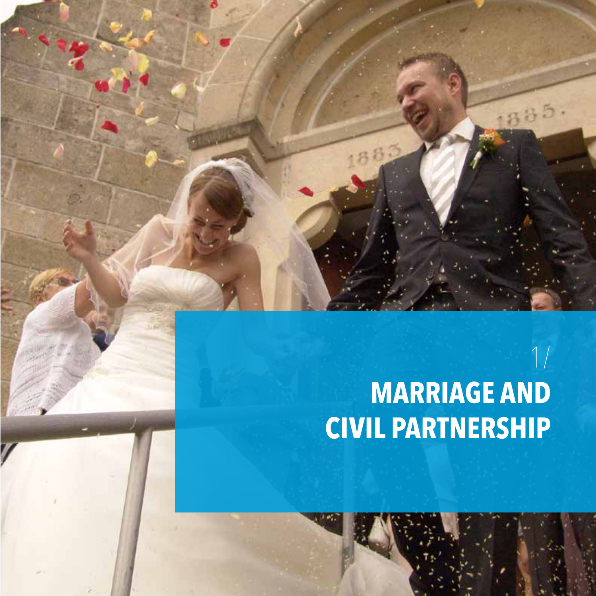# 1/ **MARRIAGE AND CIVIL PARTNERSHIP**

5

188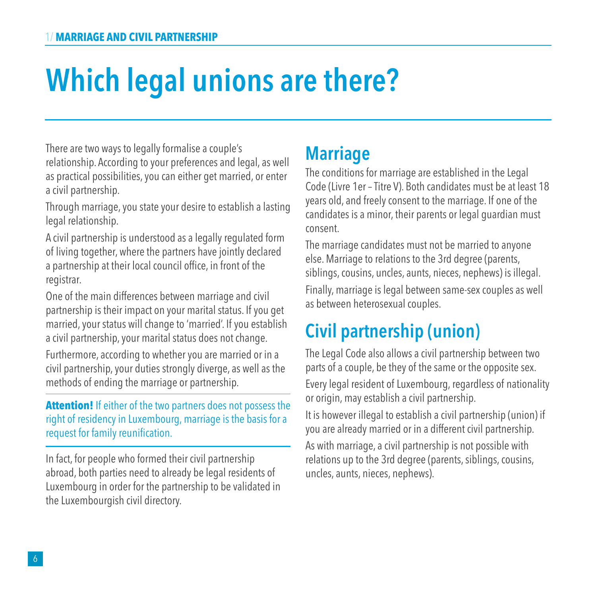# **Which legal unions are there?**

There are two ways to legally formalise a couple's relationship. According to your preferences and legal, as well as practical possibilities, you can either get married, or enter a civil partnership.

Through marriage, you state your desire to establish a lasting legal relationship.

A civil partnership is understood as a legally regulated form of living together, where the partners have jointly declared a partnership at their local council office, in front of the registrar.

One of the main differences between marriage and civil partnership is their impact on your marital status. If you get married, your status will change to 'married'. If you establish a civil partnership, your marital status does not change.

Furthermore, according to whether you are married or in a civil partnership, your duties strongly diverge, as well as the methods of ending the marriage or partnership.

**Attention!** If either of the two partners does not possess the right of residency in Luxembourg, marriage is the basis for a request for family reunification.

In fact, for people who formed their civil partnership abroad, both parties need to already be legal residents of Luxembourg in order for the partnership to be validated in the Luxembourgish civil directory.

# **Marriage**

The conditions for marriage are established in the Legal Code (Livre 1er – Titre V). Both candidates must be at least 18 years old, and freely consent to the marriage. If one of the candidates is a minor, their parents or legal guardian must consent.

The marriage candidates must not be married to anyone else. Marriage to relations to the 3rd degree (parents, siblings, cousins, uncles, aunts, nieces, nephews) is illegal.

Finally, marriage is legal between same-sex couples as well as between heterosexual couples.

# **Civil partnership (union)**

The Legal Code also allows a civil partnership between two parts of a couple, be they of the same or the opposite sex. Every legal resident of Luxembourg, regardless of nationality or origin, may establish a civil partnership.

It is however illegal to establish a civil partnership (union) if you are already married or in a different civil partnership.

As with marriage, a civil partnership is not possible with relations up to the 3rd degree (parents, siblings, cousins, uncles, aunts, nieces, nephews).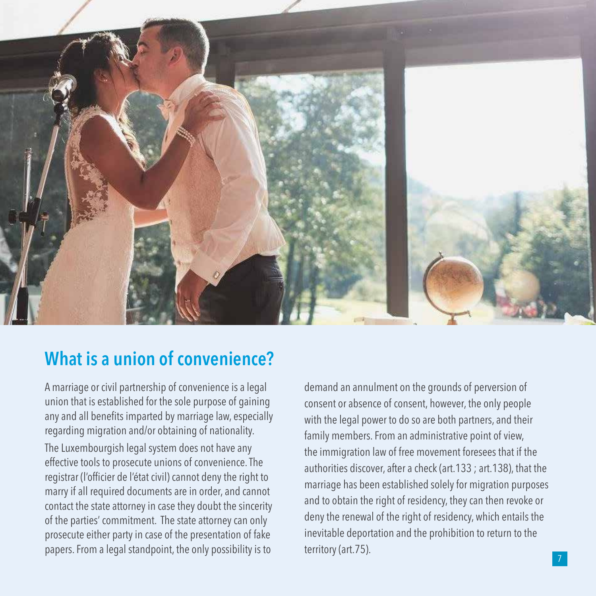

### **What is a union of convenience?**

A marriage or civil partnership of convenience is a legal union that is established for the sole purpose of gaining any and all benefits imparted by marriage law, especially regarding migration and/or obtaining of nationality. The Luxembourgish legal system does not have any effective tools to prosecute unions of convenience. The registrar (l'officier de l'état civil) cannot deny the right to marry if all required documents are in order, and cannot contact the state attorney in case they doubt the sincerity of the parties' commitment. The state attorney can only prosecute either party in case of the presentation of fake papers. From a legal standpoint, the only possibility is to

demand an annulment on the grounds of perversion of consent or absence of consent, however, the only people with the legal power to do so are both partners, and their family members. From an administrative point of view, the immigration law of free movement foresees that if the authorities discover, after a check (art.133 ; art.138), that the marriage has been established solely for migration purposes and to obtain the right of residency, they can then revoke or deny the renewal of the right of residency, which entails the inevitable deportation and the prohibition to return to the territory(art.75).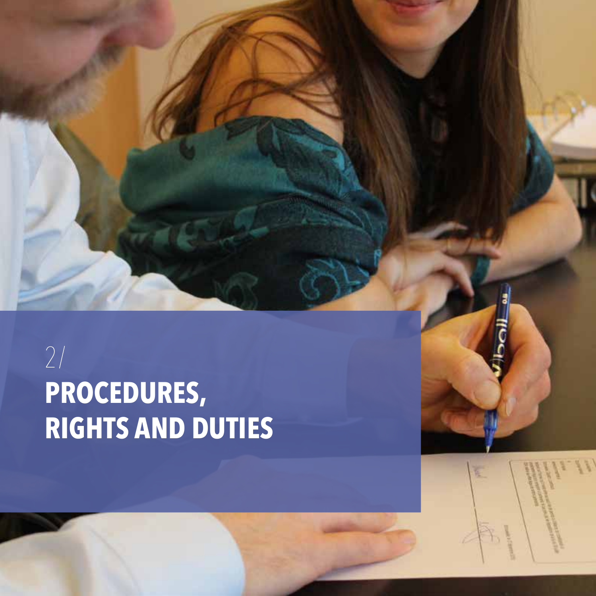# 2/ **PROCEDURES, RIGHTS AND DUTIES**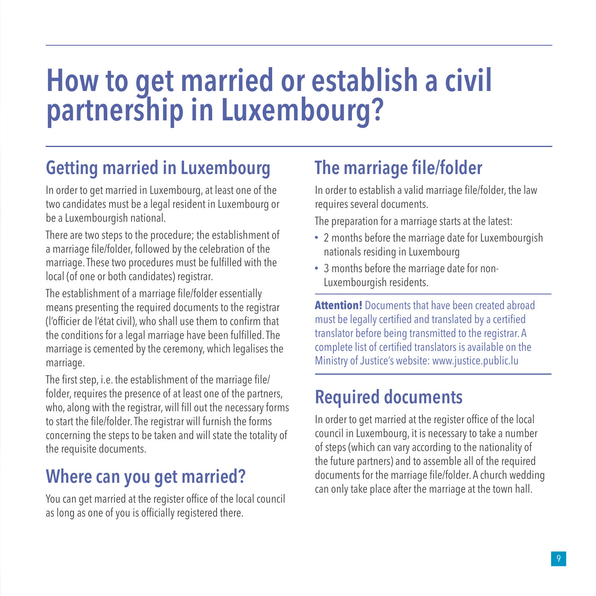# **How to get married or establish a civil partnership in Luxembourg?**

# **Getting married in Luxembourg**

In order to get married in Luxembourg, at least one of the two candidates must be a legal resident in Luxembourg or be a Luxembourgish national.

There are two steps to the procedure; the establishment of a marriage file/folder, followed by the celebration of the marriage. These two procedures must be fulfilled with the local (of one or both candidates) registrar.

The establishment of a marriage file/folder essentially means presenting the required documents to the registrar (l'officier de l'état civil), who shall use them to confirm that the conditions for a legal marriage have been fulfilled. The marriage is cemented by the ceremony, which legalises the marriage.

The first step, i.e. the establishment of the marriage file/ folder, requires the presence of at least one of the partners, who, along with the registrar, will fill out the necessary forms to start the file/folder. The registrar will furnish the forms concerning the steps to be taken and will state the totality of the requisite documents.

# **Where can you get married?**

You can get married at the register office of the local council as long as one of you is officially registered there.

# **The marriage file/folder**

In order to establish a valid marriage file/folder, the law requires several documents.

The preparation for a marriage starts at the latest:

- 2 months before the marriage date for Luxembourgish nationals residing in Luxembourg
- 3 months before the marriage date for non-Luxembourgish residents.

**Attention!** Documents that have been created abroad must be legally certified and translated by a certified translator before being transmitted to the registrar. A complete list of certified translators is available on the Ministry of Justice's website: www.justice.public.lu

# **Required documents**

In order to get married at the register office of the local council in Luxembourg, it is necessary to take a number of steps (which can vary according to the nationality of the future partners) and to assemble all of the required documents for the marriage file/folder. A church wedding can only take place after the marriage at the town hall.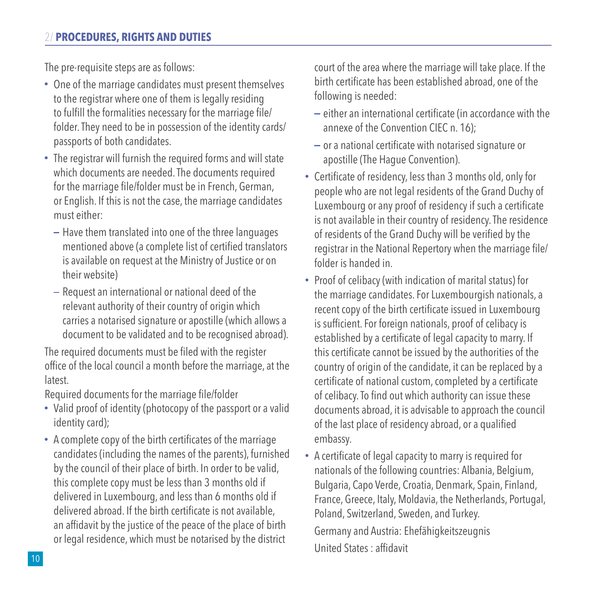#### 2/ **PROCEDURES, RIGHTS AND DUTIES**

The pre-requisite steps are as follows:

- One of the marriage candidates must present themselves to the registrar where one of them is legally residing to fulfill the formalities necessary for the marriage file/ folder. They need to be in possession of the identity cards/ passports of both candidates.
- The registrar will furnish the required forms and will state which documents are needed. The documents required for the marriage file/folder must be in French, German, or English. If this is not the case, the marriage candidates must either:
	- $-$  Have them translated into one of the three languages mentioned above (a complete list of certified translators is available on request at the Ministry of Justice or on their website)
	- Request an international or national deed of the relevant authority of their country of origin which carries a notarised signature or apostille (which allows a document to be validated and to be recognised abroad).

The required documents must be filed with the register office of the local council a month before the marriage, at the latest.

Required documents for the marriage file/folder

- Valid proof of identity (photocopy of the passport or a valid identity card);
- A complete copy of the birth certificates of the marriage candidates (including the names of the parents), furnished by the council of their place of birth. In order to be valid, this complete copy must be less than 3 months old if delivered in Luxembourg, and less than 6 months old if delivered abroad. If the birth certificate is not available, an affidavit by the justice of the peace of the place of birth or legal residence, which must be notarised by the district

court of the area where the marriage will take place. If the birth certificate has been established abroad, one of the following is needed:

- $-$  either an international certificate (in accordance with the annexe of the Convention CIEC n. 16);
- $-$  or a national certificate with notarised signature or apostille (The Hague Convention).
- Certificate of residency, less than 3 months old, only for people who are not legal residents of the Grand Duchy of Luxembourg or any proof of residency if such a certificate is not available in their country of residency. The residence of residents of the Grand Duchy will be verified by the registrar in the National Repertory when the marriage file/ folder is handed in.
- Proof of celibacy (with indication of marital status) for the marriage candidates. For Luxembourgish nationals, a recent copy of the birth certificate issued in Luxembourg is sufficient. For foreign nationals, proof of celibacy is established by a certificate of legal capacity to marry. If this certificate cannot be issued by the authorities of the country of origin of the candidate, it can be replaced by a certificate of national custom, completed by a certificate of celibacy. To find out which authority can issue these documents abroad, it is advisable to approach the council of the last place of residency abroad, or a qualified embassy.
- A certificate of legal capacity to marry is required for nationals of the following countries: Albania, Belgium, Bulgaria, Capo Verde, Croatia, Denmark, Spain, Finland, France, Greece, Italy, Moldavia, the Netherlands, Portugal, Poland, Switzerland, Sweden, and Turkey. Germany and Austria: Ehefähigkeitszeugnis United States : affidavit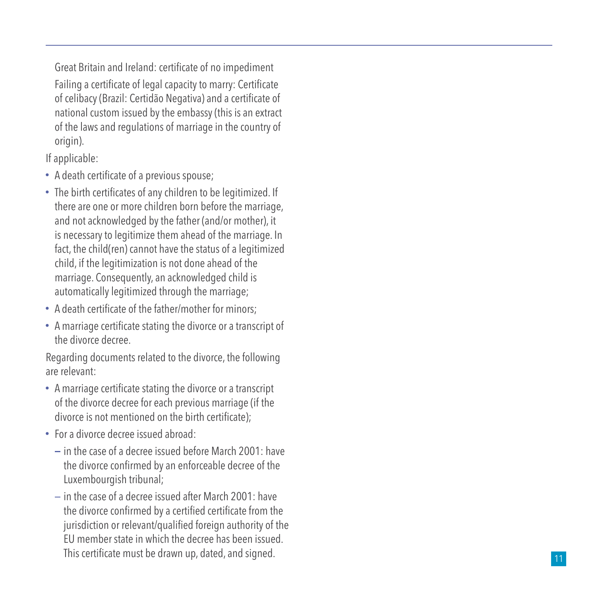Great Britain and Ireland: certificate of no impediment Failing a certificate of legal capacity to marry: Certificate of celibacy (Brazil: Certidão Negativa) and a certificate of national custom issued by the embassy (this is an extract of the laws and regulations of marriage in the country of origin).

If applicable:

- A death certificate of a previous spouse;
- The birth certificates of any children to be legitimized. If there are one or more children born before the marriage, and not acknowledged by the father (and/or mother), it is necessary to legitimize them ahead of the marriage. In fact, the child(ren) cannot have the status of a legitimized child, if the legitimization is not done ahead of the marriage. Consequently, an acknowledged child is automatically legitimized through the marriage;
- A death certificate of the father/mother for minors;
- A marriage certificate stating the divorce or a transcript of the divorce decree.

Regarding documents related to the divorce, the following are relevant:

- A marriage certificate stating the divorce or a transcript of the divorce decree for each previous marriage (if the divorce is not mentioned on the birth certificate);
- For a divorce decree issued abroad:
	- $-$  in the case of a decree issued before March 2001: have the divorce confirmed by an enforceable decree of the Luxembourgish tribunal;
	- $-$  in the case of a decree issued after March 2001: have the divorce confirmed by a certified certificate from the jurisdiction or relevant/qualified foreign authority of the EU member state in which the decree has been issued. This certificate must be drawn up, dated, and signed.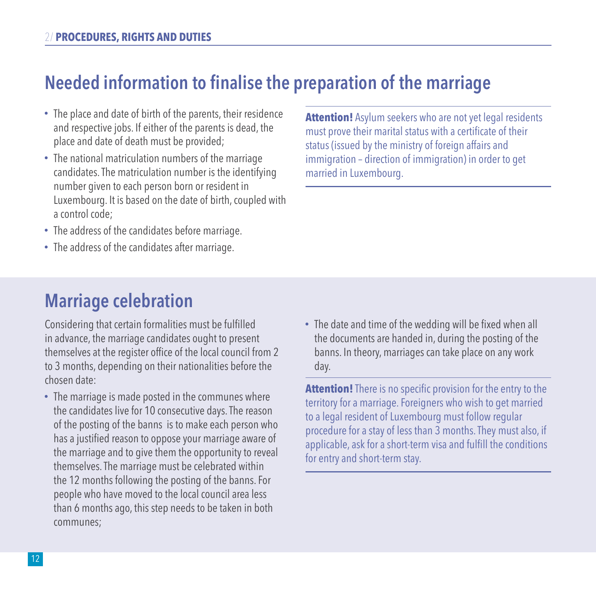# **Needed information to finalise the preparation of the marriage**

- The place and date of birth of the parents, their residence and respective jobs. If either of the parents is dead, the place and date of death must be provided;
- The national matriculation numbers of the marriage candidates. The matriculation number is the identifying number given to each person born or resident in Luxembourg. It is based on the date of birth, coupled with a control code;
- The address of the candidates before marriage.
- The address of the candidates after marriage.

**Attention!** Asylum seekers who are not yet legal residents must prove their marital status with a certificate of their status (issued by the ministry of foreign affairs and immigration – direction of immigration) in order to get married in Luxembourg.

### **Marriage celebration**

Considering that certain formalities must be fulfilled in advance, the marriage candidates ought to present themselves at the register office of the local council from 2 to 3 months, depending on their nationalities before the chosen date:

- The marriage is made posted in the communes where the candidates live for 10 consecutive days. The reason of the posting of the banns is to make each person who has a justified reason to oppose your marriage aware of the marriage and to give them the opportunity to reveal themselves. The marriage must be celebrated within the 12 months following the posting of the banns. For people who have moved to the local council area less than 6 months ago, this step needs to be taken in both communes;
- The date and time of the wedding will be fixed when all the documents are handed in, during the posting of the banns. In theory, marriages can take place on any work day.

**Attention!** There is no specific provision for the entry to the territory for a marriage. Foreigners who wish to get married to a legal resident of Luxembourg must follow regular procedure for a stay of less than 3 months. They must also, if applicable, ask for a short-term visa and fulfill the conditions for entry and short-term stay.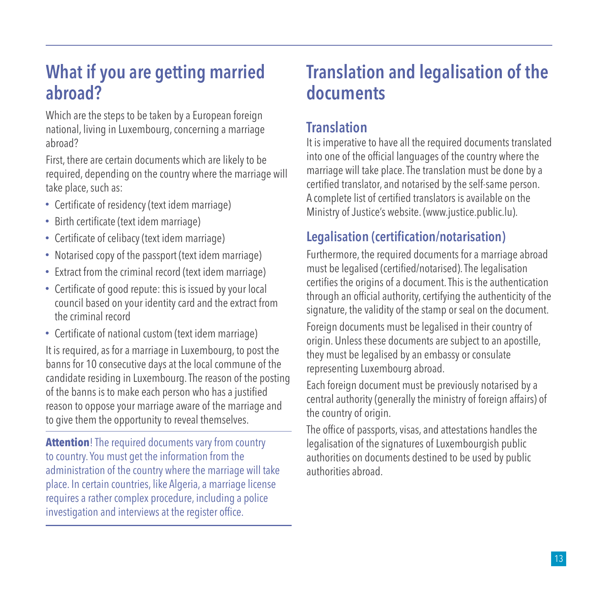### **What if you are getting married abroad?**

Which are the steps to be taken by a European foreign national, living in Luxembourg, concerning a marriage abroad?

First, there are certain documents which are likely to be required, depending on the country where the marriage will take place, such as:

- Certificate of residency (text idem marriage)
- Birth certificate (text idem marriage)
- Certificate of celibacy (text idem marriage)
- Notarised copy of the passport (text idem marriage)
- Extract from the criminal record (text idem marriage)
- Certificate of good repute: this is issued by your local council based on your identity card and the extract from the criminal record
- Certificate of national custom (text idem marriage)

It is required, as for a marriage in Luxembourg, to post the banns for 10 consecutive days at the local commune of the candidate residing in Luxembourg. The reason of the posting of the banns is to make each person who has a justified reason to oppose your marriage aware of the marriage and to give them the opportunity to reveal themselves.

**Attention**! The required documents vary from country to country. You must get the information from the administration of the country where the marriage will take place. In certain countries, like Algeria, a marriage license requires a rather complex procedure, including a police investigation and interviews at the register office.

### **Translation and legalisation of the documents**

#### **Translation**

It is imperative to have all the required documents translated into one of the official languages of the country where the marriage will take place. The translation must be done by a certified translator, and notarised by the self-same person. A complete list of certified translators is available on the Ministry of Justice's website. (www.justice.public.lu).

#### **Legalisation (certification/notarisation)**

Furthermore, the required documents for a marriage abroad must be legalised (certified/notarised). The legalisation certifies the origins of a document. This is the authentication through an official authority, certifying the authenticity of the signature, the validity of the stamp or seal on the document.

Foreign documents must be legalised in their country of origin. Unless these documents are subject to an apostille, they must be legalised by an embassy or consulate representing Luxembourg abroad.

Each foreign document must be previously notarised by a central authority (generally the ministry of foreign affairs) of the country of origin.

The office of passports, visas, and attestations handles the legalisation of the signatures of Luxembourgish public authorities on documents destined to be used by public authorities abroad.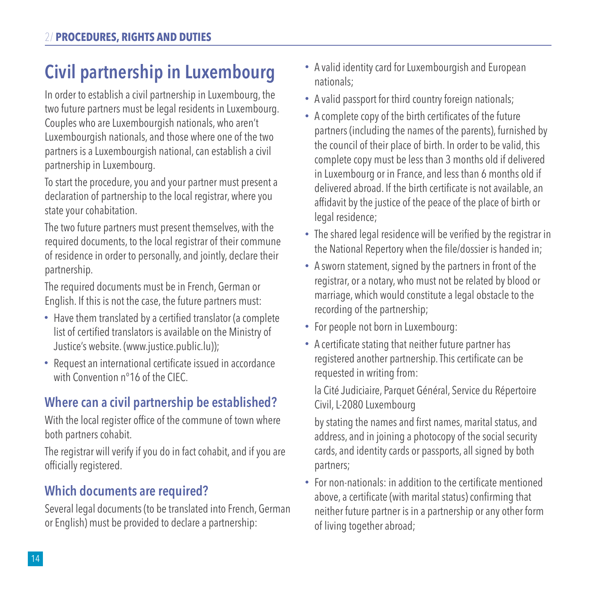# **Civil partnership in Luxembourg**

In order to establish a civil partnership in Luxembourg, the two future partners must be legal residents in Luxembourg. Couples who are Luxembourgish nationals, who aren't Luxembourgish nationals, and those where one of the two partners is a Luxembourgish national, can establish a civil partnership in Luxembourg.

To start the procedure, you and your partner must present a declaration of partnership to the local registrar, where you state your cohabitation.

The two future partners must present themselves, with the required documents, to the local registrar of their commune of residence in order to personally, and jointly, declare their partnership.

The required documents must be in French, German or English. If this is not the case, the future partners must:

- Have them translated by a certified translator (a complete list of certified translators is available on the Ministry of Justice's website. (www.justice.public.lu));
- Request an international certificate issued in accordance with Convention n°16 of the CIEC.

### **Where can a civil partnership be established?**

With the local register office of the commune of town where both partners cohabit.

The registrar will verify if you do in fact cohabit, and if you are officially registered.

#### **Which documents are required?**

Several legal documents (to be translated into French, German or English) must be provided to declare a partnership:

- A valid identity card for Luxembourgish and European nationals;
- A valid passport for third country foreign nationals;
- A complete copy of the birth certificates of the future partners (including the names of the parents), furnished by the council of their place of birth. In order to be valid, this complete copy must be less than 3 months old if delivered in Luxembourg or in France, and less than 6 months old if delivered abroad. If the birth certificate is not available, an affidavit by the justice of the peace of the place of birth or legal residence:
- The shared legal residence will be verified by the registrar in the National Repertory when the file/dossier is handed in;
- A sworn statement, signed by the partners in front of the registrar, or a notary, who must not be related by blood or marriage, which would constitute a legal obstacle to the recording of the partnership;
- For people not born in Luxembourg:
- A certificate stating that neither future partner has registered another partnership. This certificate can be requested in writing from:

la Cité Judiciaire, Parquet Général, Service du Répertoire Civil, L-2080 Luxembourg

by stating the names and first names, marital status, and address, and in joining a photocopy of the social security cards, and identity cards or passports, all signed by both partners;

For non-nationals: in addition to the certificate mentioned above, a certificate (with marital status) confirming that neither future partner is in a partnership or any other form of living together abroad;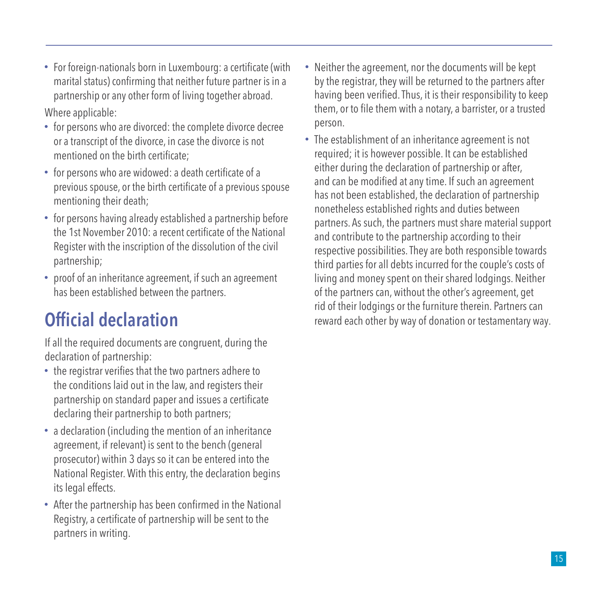For foreign-nationals born in Luxembourg: a certificate (with marital status) confirming that neither future partner is in a partnership or any other form of living together abroad.

Where applicable:

- for persons who are divorced: the complete divorce decree or a transcript of the divorce, in case the divorce is not mentioned on the birth certificate;
- for persons who are widowed: a death certificate of a previous spouse, or the birth certificate of a previous spouse mentioning their death;
- for persons having already established a partnership before the 1st November 2010: a recent certificate of the National Register with the inscription of the dissolution of the civil partnership;
- proof of an inheritance agreement, if such an agreement has been established between the partners.

# **Official declaration**

If all the required documents are congruent, during the declaration of partnership:

- the registrar verifies that the two partners adhere to the conditions laid out in the law, and registers their partnership on standard paper and issues a certificate declaring their partnership to both partners;
- a declaration (including the mention of an inheritance agreement, if relevant) is sent to the bench (general prosecutor) within 3 days so it can be entered into the National Register. With this entry, the declaration begins its legal effects.
- After the partnership has been confirmed in the National Registry, a certificate of partnership will be sent to the partners in writing.
- Neither the agreement, nor the documents will be kept by the registrar, they will be returned to the partners after having been verified. Thus, it is their responsibility to keep them, or to file them with a notary, a barrister, or a trusted person.
- The establishment of an inheritance agreement is not required; it is however possible. It can be established either during the declaration of partnership or after, and can be modified at any time. If such an agreement has not been established, the declaration of partnership nonetheless established rights and duties between partners. As such, the partners must share material support and contribute to the partnership according to their respective possibilities. They are both responsible towards third parties for all debts incurred for the couple's costs of living and money spent on their shared lodgings. Neither of the partners can, without the other's agreement, get rid of their lodgings or the furniture therein. Partners can reward each other by way of donation or testamentary way.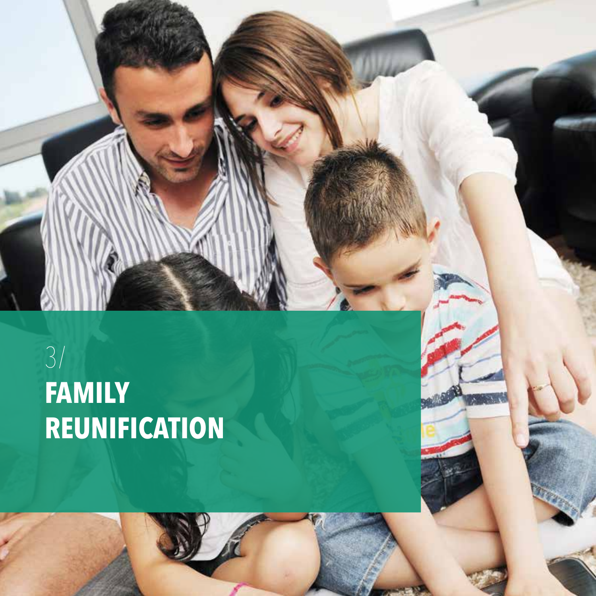# 3/ **FAMILY REUNIFICATION**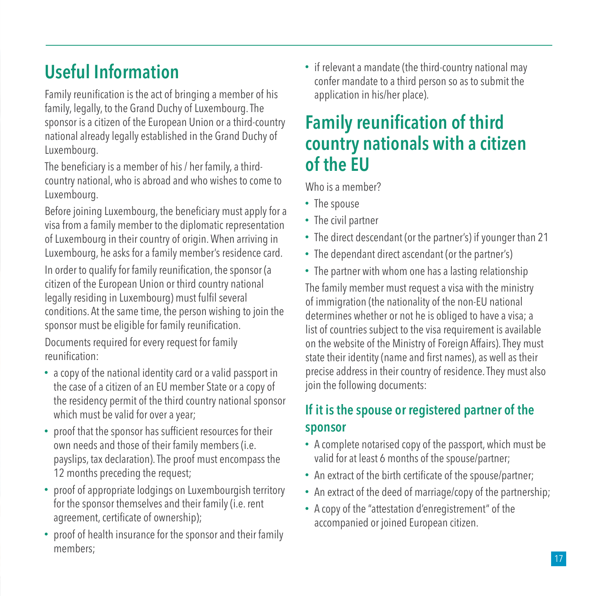# **Useful Information**

Family reunification is the act of bringing a member of his family, legally, to the Grand Duchy of Luxembourg. The sponsor is a citizen of the European Union or a third-country national already legally established in the Grand Duchy of Luxembourg.

The beneficiary is a member of his / her family, a thirdcountry national, who is abroad and who wishes to come to Luxembourg.

Before joining Luxembourg, the beneficiary must apply for a visa from a family member to the diplomatic representation of Luxembourg in their country of origin. When arriving in Luxembourg, he asks for a family member's residence card.

In order to qualify for family reunification, the sponsor (a citizen of the European Union or third country national legally residing in Luxembourg) must fulfil several conditions. At the same time, the person wishing to join the sponsor must be eligible for family reunification.

Documents required for every request for family reunification:

- a copy of the national identity card or a valid passport in the case of a citizen of an EU member State or a copy of the residency permit of the third country national sponsor which must be valid for over a year;
- proof that the sponsor has sufficient resources for their own needs and those of their family members (i.e. payslips, tax declaration). The proof must encompass the 12 months preceding the request;
- proof of appropriate lodgings on Luxembourgish territory for the sponsor themselves and their family (i.e. rent agreement, certificate of ownership);
- proof of health insurance for the sponsor and their family members;

• if relevant a mandate (the third-country national may confer mandate to a third person so as to submit the application in his/her place).

# **Family reunification of third country nationals with a citizen of the EU**

Who is a member?

- The spouse
- The civil partner
- The direct descendant (or the partner's) if younger than 21
- The dependant direct ascendant (or the partner's)
- The partner with whom one has a lasting relationship

The family member must request a visa with the ministry of immigration (the nationality of the non-EU national determines whether or not he is obliged to have a visa; a list of countries subject to the visa requirement is available on the website of the Ministry of Foreign Affairs). They must state their identity (name and first names), as well as their precise address in their country of residence. They must also join the following documents:

### **If it is the spouse or registered partner of the sponsor**

- A complete notarised copy of the passport, which must be valid for at least 6 months of the spouse/partner;
- An extract of the birth certificate of the spouse/partner;
- An extract of the deed of marriage/copy of the partnership;
- A copy of the "attestation d'enregistrement" of the accompanied or joined European citizen.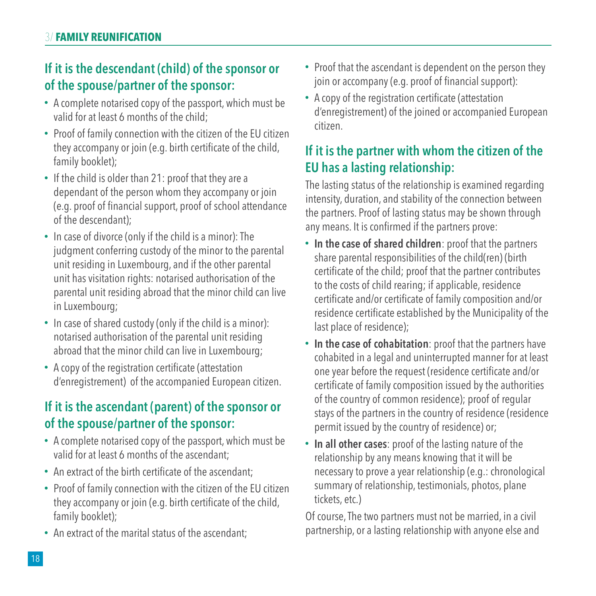#### **If it is the descendant (child) of the sponsor or of the spouse/partner of the sponsor:**

- A complete notarised copy of the passport, which must be valid for at least 6 months of the child;
- Proof of family connection with the citizen of the EU citizen they accompany or join (e.g. birth certificate of the child, family booklet);
- If the child is older than 21: proof that they are a dependant of the person whom they accompany or join (e.g. proof of financial support, proof of school attendance of the descendant);
- In case of divorce (only if the child is a minor): The judgment conferring custody of the minor to the parental unit residing in Luxembourg, and if the other parental unit has visitation rights: notarised authorisation of the parental unit residing abroad that the minor child can live in Luxembourg;
- In case of shared custody (only if the child is a minor): notarised authorisation of the parental unit residing abroad that the minor child can live in Luxembourg;
- A copy of the registration certificate (attestation d'enregistrement) of the accompanied European citizen.

#### **If it is the ascendant (parent) of the sponsor or of the spouse/partner of the sponsor:**

- A complete notarised copy of the passport, which must be valid for at least 6 months of the ascendant;
- An extract of the birth certificate of the ascendant;
- Proof of family connection with the citizen of the EU citizen they accompany or join (e.g. birth certificate of the child, family booklet);
- An extract of the marital status of the ascendant:
- Proof that the ascendant is dependent on the person they join or accompany (e.g. proof of financial support):
- A copy of the registration certificate (attestation d'enregistrement) of the joined or accompanied European citizen.

#### **If it is the partner with whom the citizen of the EU has a lasting relationship:**

The lasting status of the relationship is examined regarding intensity, duration, and stability of the connection between the partners. Proof of lasting status may be shown through any means. It is confirmed if the partners prove:

- **In the case of shared children**: proof that the partners share parental responsibilities of the child(ren) (birth certificate of the child; proof that the partner contributes to the costs of child rearing; if applicable, residence certificate and/or certificate of family composition and/or residence certificate established by the Municipality of the last place of residence);
- **In the case of cohabitation**: proof that the partners have cohabited in a legal and uninterrupted manner for at least one year before the request (residence certificate and/or certificate of family composition issued by the authorities of the country of common residence); proof of regular stays of the partners in the country of residence (residence permit issued by the country of residence) or;
- **In all other cases**: proof of the lasting nature of the relationship by any means knowing that it will be necessary to prove a year relationship (e.g.: chronological summary of relationship, testimonials, photos, plane tickets, etc.)

Of course, The two partners must not be married, in a civil partnership, or a lasting relationship with anyone else and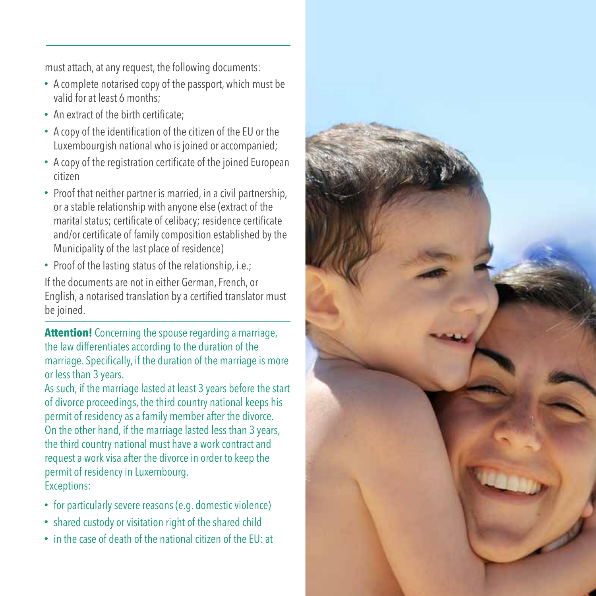must attach, at any request, the following documents:

- A complete notarised copy of the passport, which must be valid for at least 6 months;
- An extract of the birth certificate;
- A copy of the identification of the citizen of the EU or the Luxembourgish national who is joined or accompanied;
- A copy of the registration certificate of the joined European citizen
- Proof that neither partner is married, in a civil partnership, or a stable relationship with anyone else (extract of the marital status; certificate of celibacy; residence certificate and/or certificate of family composition established by the Municipality of the last place of residence)
- Proof of the lasting status of the relationship, i.e.;

If the documents are not in either German, French, or English, a notarised translation by a certified translator must be joined.

**Attention!** Concerning the spouse regarding a marriage, the law differentiates according to the duration of the marriage. Specifically, if the duration of the marriage is more or less than 3 years.

As such, if the marriage lasted at least 3 years before the start of divorce proceedings, the third country national keeps his permit of residency as a family member after the divorce. On the other hand, if the marriage lasted less than 3 years, the third country national must have a work contract and request a work visa after the divorce in order to keep the permit of residency in Luxembourg. Exceptions:

- for particularly severe reasons (e.g. domestic violence)
- shared custody or visitation right of the shared child
- in the case of death of the national citizen of the EU: at

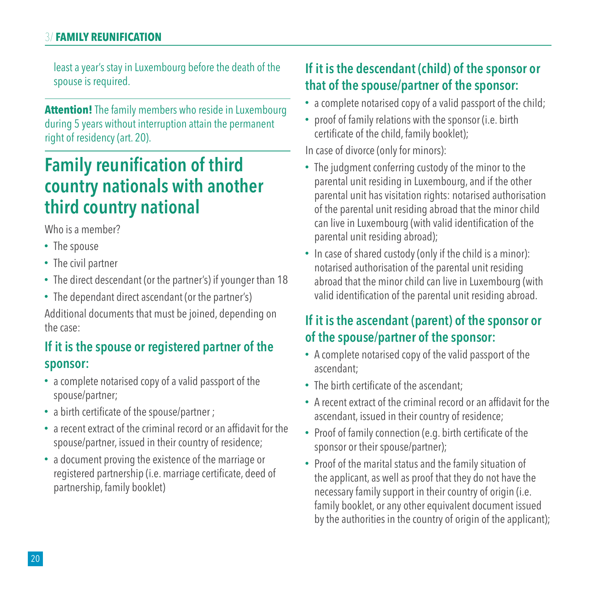#### 3/ **FAMILY REUNIFICATION**

least a year's stay in Luxembourg before the death of the spouse is required.

**Attention!** The family members who reside in Luxembourg during 5 years without interruption attain the permanent right of residency (art. 20).

### **Family reunification of third country nationals with another third country national**

Who is a member?

- The spouse
- The civil partner
- The direct descendant (or the partner's) if younger than 18
- The dependant direct ascendant (or the partner's) Additional documents that must be joined, depending on the case:

#### **If it is the spouse or registered partner of the sponsor:**

- a complete notarised copy of a valid passport of the spouse/partner;
- a birth certificate of the spouse/partner ;
- a recent extract of the criminal record or an affidavit for the spouse/partner, issued in their country of residence;
- a document proving the existence of the marriage or registered partnership (i.e. marriage certificate, deed of partnership, family booklet)

#### **If it is the descendant (child) of the sponsor or that of the spouse/partner of the sponsor:**

- a complete notarised copy of a valid passport of the child;
- proof of family relations with the sponsor (i.e. birth certificate of the child, family booklet);

In case of divorce (only for minors):

- The judgment conferring custody of the minor to the parental unit residing in Luxembourg, and if the other parental unit has visitation rights: notarised authorisation of the parental unit residing abroad that the minor child can live in Luxembourg (with valid identification of the parental unit residing abroad);
- In case of shared custody (only if the child is a minor): notarised authorisation of the parental unit residing abroad that the minor child can live in Luxembourg (with valid identification of the parental unit residing abroad.

#### **If it is the ascendant (parent) of the sponsor or of the spouse/partner of the sponsor:**

- A complete notarised copy of the valid passport of the ascendant;
- The birth certificate of the ascendant:
- A recent extract of the criminal record or an affidavit for the ascendant, issued in their country of residence;
- Proof of family connection (e.g. birth certificate of the sponsor or their spouse/partner);
- Proof of the marital status and the family situation of the applicant, as well as proof that they do not have the necessary family support in their country of origin (i.e. family booklet, or any other equivalent document issued by the authorities in the country of origin of the applicant);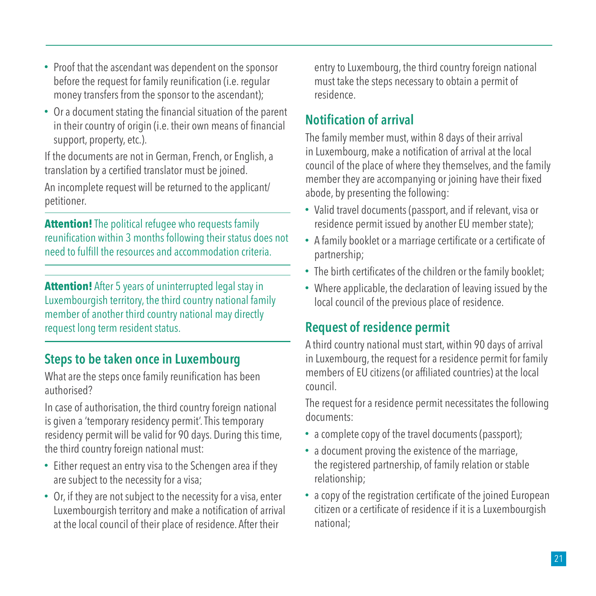- Proof that the ascendant was dependent on the sponsor before the request for family reunification (i.e. regular money transfers from the sponsor to the ascendant);
- Or a document stating the financial situation of the parent in their country of origin (i.e. their own means of financial support, property, etc.).

If the documents are not in German, French, or English, a translation by a certified translator must be joined.

An incomplete request will be returned to the applicant/ petitioner.

**Attention!** The political refugee who requests family reunification within 3 months following their status does not need to fulfill the resources and accommodation criteria.

**Attention!** After 5 years of uninterrupted legal stay in Luxembourgish territory, the third country national family member of another third country national may directly request long term resident status.

#### **Steps to be taken once in Luxembourg**

What are the steps once family reunification has been authorised?

In case of authorisation, the third country foreign national is given a 'temporary residency permit'. This temporary residency permit will be valid for 90 days. During this time, the third country foreign national must:

- Either request an entry visa to the Schengen area if they are subject to the necessity for a visa;
- Or, if they are not subject to the necessity for a visa, enter Luxembourgish territory and make a notification of arrival at the local council of their place of residence. After their

entry to Luxembourg, the third country foreign national must take the steps necessary to obtain a permit of residence.

#### **Notification of arrival**

The family member must, within 8 days of their arrival in Luxembourg, make a notification of arrival at the local council of the place of where they themselves, and the family member they are accompanying or joining have their fixed abode, by presenting the following:

- Valid travel documents (passport, and if relevant, visa or residence permit issued by another EU member state);
- A family booklet or a marriage certificate or a certificate of partnership;
- The birth certificates of the children or the family booklet;
- Where applicable, the declaration of leaving issued by the local council of the previous place of residence.

#### **Request of residence permit**

A third country national must start, within 90 days of arrival in Luxembourg, the request for a residence permit for family members of EU citizens (or affiliated countries) at the local council.

The request for a residence permit necessitates the following documents:

- a complete copy of the travel documents (passport);
- a document proving the existence of the marriage, the registered partnership, of family relation or stable relationship;
- a copy of the registration certificate of the joined European citizen or a certificate of residence if it is a Luxembourgish national;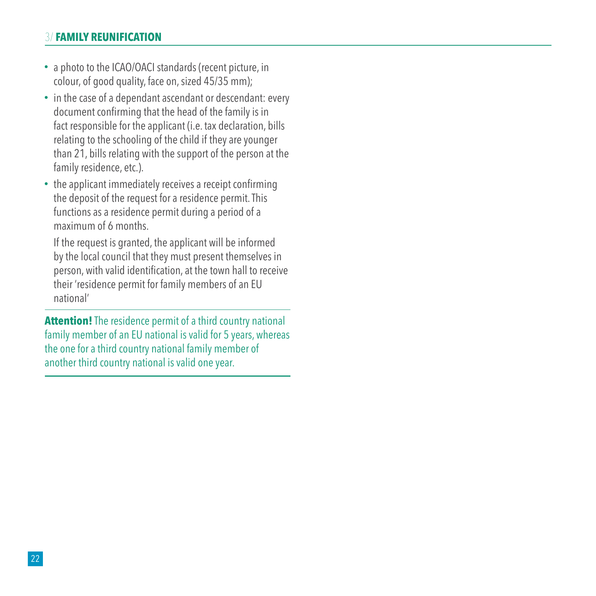#### 3/ **FAMILY REUNIFICATION**

- a photo to the ICAO/OACI standards (recent picture, in colour, of good quality, face on, sized 45/35 mm);
- in the case of a dependant ascendant or descendant: every document confirming that the head of the family is in fact responsible for the applicant (i.e. tax declaration, bills relating to the schooling of the child if they are younger than 21, bills relating with the support of the person at the family residence, etc.).
- the applicant immediately receives a receipt confirming the deposit of the request for a residence permit. This functions as a residence permit during a period of a maximum of 6 months.

If the request is granted, the applicant will be informed by the local council that they must present themselves in person, with valid identification, at the town hall to receive their 'residence permit for family members of an EU national'

**Attention!** The residence permit of a third country national family member of an EU national is valid for 5 years, whereas the one for a third country national family member of another third country national is valid one year.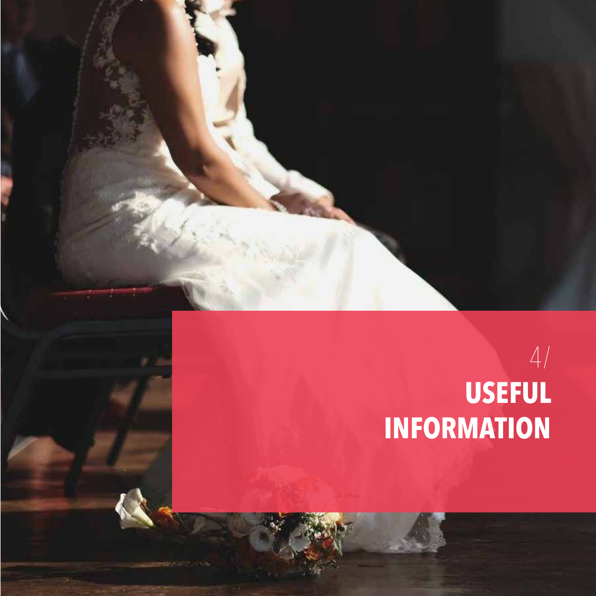

# 4/ **USEFUL INFORMATION**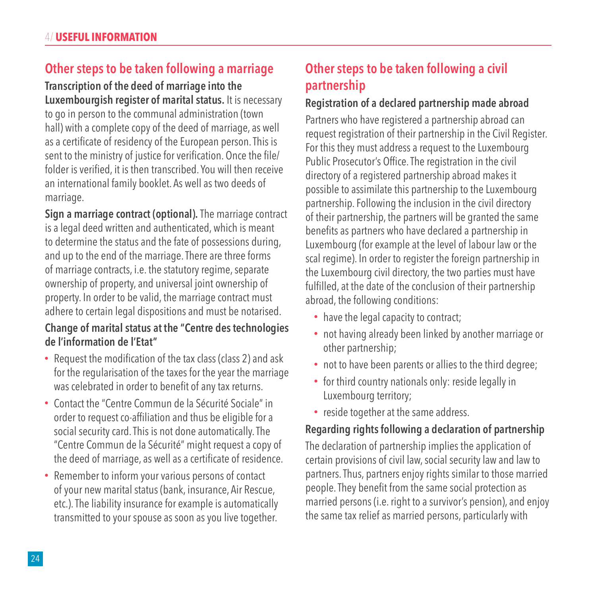#### **Other steps to be taken following a marriage**

#### **Transcription of the deed of marriage into the Luxembourgish register of marital status.** It is necessary

to go in person to the communal administration (town hall) with a complete copy of the deed of marriage, as well as a certificate of residency of the European person. This is sent to the ministry of justice for verification. Once the file/ folder is verified, it is then transcribed. You will then receive an international family booklet. As well as two deeds of marriage.

**Sign a marriage contract (optional).** The marriage contract is a legal deed written and authenticated, which is meant to determine the status and the fate of possessions during, and up to the end of the marriage. There are three forms of marriage contracts, i.e. the statutory regime, separate ownership of property, and universal joint ownership of property. In order to be valid, the marriage contract must adhere to certain legal dispositions and must be notarised.

#### **Change of marital status at the "Centre des technologies de l'information de l'Etat"**

- Request the modification of the tax class (class 2) and ask for the regularisation of the taxes for the year the marriage was celebrated in order to benefit of any tax returns.
- Contact the "Centre Commun de la Sécurité Sociale" in order to request co-affiliation and thus be eligible for a social security card. This is not done automatically. The "Centre Commun de la Sécurité" might request a copy of the deed of marriage, as well as a certificate of residence.
- Remember to inform your various persons of contact of your new marital status (bank, insurance, Air Rescue, etc.). The liability insurance for example is automatically transmitted to your spouse as soon as you live together.

#### **Other steps to be taken following a civil partnership**

#### **Registration of a declared partnership made abroad**

Partners who have registered a partnership abroad can request registration of their partnership in the Civil Register. For this they must address a request to the Luxembourg Public Prosecutor's Office. The registration in the civil directory of a registered partnership abroad makes it possible to assimilate this partnership to the Luxembourg partnership. Following the inclusion in the civil directory of their partnership, the partners will be granted the same benefits as partners who have declared a partnership in Luxembourg (for example at the level of labour law or the scal regime). In order to register the foreign partnership in the Luxembourg civil directory, the two parties must have fulfilled, at the date of the conclusion of their partnership abroad, the following conditions:

- have the legal capacity to contract;
- not having already been linked by another marriage or other partnership;
- not to have been parents or allies to the third degree;
- for third country nationals only: reside legally in Luxembourg territory;
- reside together at the same address.

#### **Regarding rights following a declaration of partnership**

The declaration of partnership implies the application of certain provisions of civil law, social security law and law to partners. Thus, partners enjoy rights similar to those married people. They benefit from the same social protection as married persons (i.e. right to a survivor's pension), and enjoy the same tax relief as married persons, particularly with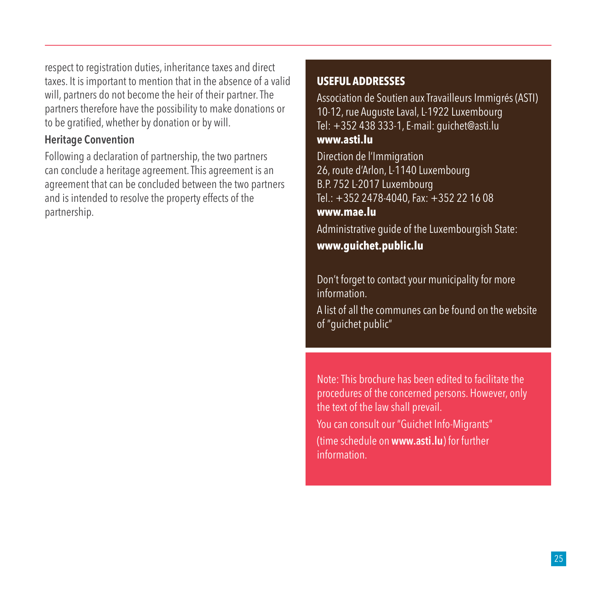respect to registration duties, inheritance taxes and direct taxes. It is important to mention that in the absence of a valid will, partners do not become the heir of their partner. The partners therefore have the possibility to make donations or to be gratified, whether by donation or by will.

#### **Heritage Convention**

Following a declaration of partnership, the two partners can conclude a heritage agreement. This agreement is an agreement that can be concluded between the two partners and is intended to resolve the property effects of the partnership.

#### **USEFUL ADDRESSES**

Association de Soutien aux Travailleurs Immigrés (ASTI) 10-12, rue Auguste Laval, L-1922 Luxembourg Tel: +352 438 333-1, E-mail: guichet@asti.lu **www.asti.lu**

Direction de l'Immigration 26, route d'Arlon, L-1140 Luxembourg B.P. 752 L-2017 Luxembourg Tel.: +352 2478-4040, Fax: +352 22 16 08 **www.mae.lu**

Administrative guide of the Luxembourgish State:

**www.guichet.public.lu**

Don't forget to contact your municipality for more information.

A list of all the communes can be found on the website of "guichet public"

Note: This brochure has been edited to facilitate the procedures of the concerned persons. However, only the text of the law shall prevail.

You can consult our "Guichet Info-Migrants" (time schedule on **www.asti.lu**) for further information.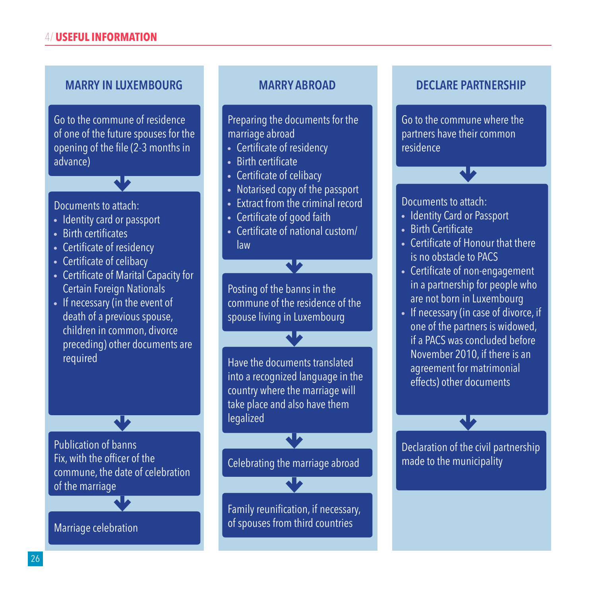#### **MARRY IN LUXEMBOURG MARRY ABROAD DECLARE PARTNERSHIP**

Go to the commune of residence of one of the future spouses for the opening of the file (2-3 months in advance)

 $\overline{\mathbf{v}}$ 

Documents to attach:

- Identity card or passport
- Birth certificates
- Certificate of residency
- Certificate of celibacy
- Certificate of Marital Capacity for Certain Foreign Nationals
- If necessary (in the event of death of a previous spouse, children in common, divorce preceding) other documents are required

Publication of banns Fix, with the officer of the commune, the date of celebration of the marriage

Marriage celebration

Preparing the documents for the marriage abroad

- Certificate of residency
- Birth certificate
- Certificate of celibacy
- Notarised copy of the passport
- Extract from the criminal record
- Certificate of good faith
- Certificate of national custom/ law

Ŵ

Posting of the banns in the commune of the residence of the spouse living in Luxembourg

Have the documents translated into a recognized language in the country where the marriage will take place and also have them legalized

Celebrating the marriage abroad

Family reunification, if necessary, of spouses from third countries

Go to the commune where the partners have their common residence

Documents to attach:

- Identity Card or Passport
- Birth Certificate
- Certificate of Honour that there is no obstacle to PACS
- Certificate of non-engagement in a partnership for people who are not born in Luxembourg
- If necessary (in case of divorce, if one of the partners is widowed, if a PACS was concluded before November 2010, if there is an agreement for matrimonial effects) other documents

Declaration of the civil partnership made to the municipality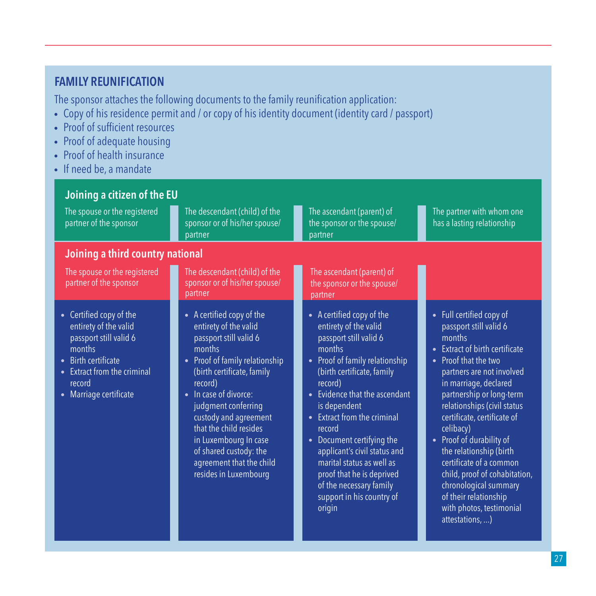#### **FAMILY REUNIFICATION**

The sponsor attaches the following documents to the family reunification application:

- Copy of his residence permit and / or copy of his identity document (identity card / passport)
- Proof of sufficient resources
- Proof of adequate housing
- Proof of health insurance
- If need be, a mandate

| Joining a citizen of the EU                                                                                                                                                                                                       |                                                                                                                                                                                                                                                                                                                                                                                                    |                                                                                                                                                                                                                                                                                                                                                                                                                                                                                                  |                                                                                                                                                                                                                                                                                                                                                                                                                                                                                                                                                 |  |  |
|-----------------------------------------------------------------------------------------------------------------------------------------------------------------------------------------------------------------------------------|----------------------------------------------------------------------------------------------------------------------------------------------------------------------------------------------------------------------------------------------------------------------------------------------------------------------------------------------------------------------------------------------------|--------------------------------------------------------------------------------------------------------------------------------------------------------------------------------------------------------------------------------------------------------------------------------------------------------------------------------------------------------------------------------------------------------------------------------------------------------------------------------------------------|-------------------------------------------------------------------------------------------------------------------------------------------------------------------------------------------------------------------------------------------------------------------------------------------------------------------------------------------------------------------------------------------------------------------------------------------------------------------------------------------------------------------------------------------------|--|--|
| The spouse or the registered<br>partner of the sponsor                                                                                                                                                                            | The descendant (child) of the<br>sponsor or of his/her spouse/<br>partner                                                                                                                                                                                                                                                                                                                          | The ascendant (parent) of<br>the sponsor or the spouse/<br>partner                                                                                                                                                                                                                                                                                                                                                                                                                               | The partner with whom one<br>has a lasting relationship                                                                                                                                                                                                                                                                                                                                                                                                                                                                                         |  |  |
| Joining a third country national                                                                                                                                                                                                  |                                                                                                                                                                                                                                                                                                                                                                                                    |                                                                                                                                                                                                                                                                                                                                                                                                                                                                                                  |                                                                                                                                                                                                                                                                                                                                                                                                                                                                                                                                                 |  |  |
| The spouse or the registered<br>partner of the sponsor                                                                                                                                                                            | The descendant (child) of the<br>sponsor or of his/her spouse/<br>partner                                                                                                                                                                                                                                                                                                                          | The ascendant (parent) of<br>the sponsor or the spouse/<br>partner                                                                                                                                                                                                                                                                                                                                                                                                                               |                                                                                                                                                                                                                                                                                                                                                                                                                                                                                                                                                 |  |  |
| Certified copy of the<br>$\bullet$<br>entirety of the valid<br>passport still valid 6<br>months<br><b>Birth certificate</b><br>$\bullet$<br>Extract from the criminal<br>$\bullet$<br>record<br>Marriage certificate<br>$\bullet$ | • A certified copy of the<br>entirety of the valid<br>passport still valid 6<br>months<br>Proof of family relationship<br>$\bullet$<br>(birth certificate, family<br>record)<br>In case of divorce:<br>$\bullet$<br>judgment conferring<br>custody and agreement<br>that the child resides<br>in Luxembourg In case<br>of shared custody: the<br>agreement that the child<br>resides in Luxembourg | • A certified copy of the<br>entirety of the valid<br>passport still valid 6<br>months<br>Proof of family relationship<br>$\bullet$<br>(birth certificate, family<br>record)<br>Evidence that the ascendant<br>$\bullet$<br>is dependent<br>Extract from the criminal<br>$\bullet$<br>record<br>Document certifying the<br>$\bullet$<br>applicant's civil status and<br>marital status as well as<br>proof that he is deprived<br>of the necessary family<br>support in his country of<br>origin | • Full certified copy of<br>passport still valid 6<br>months<br><b>Extract of birth certificate</b><br>$\bullet$<br>Proof that the two<br>$\bullet$<br>partners are not involved<br>in marriage, declared<br>partnership or long-term<br>relationships (civil status<br>certificate, certificate of<br>celibacy)<br>Proof of durability of<br>$\bullet$<br>the relationship (birth<br>certificate of a common<br>child, proof of cohabitation,<br>chronological summary<br>of their relationship<br>with photos, testimonial<br>attestations, ) |  |  |